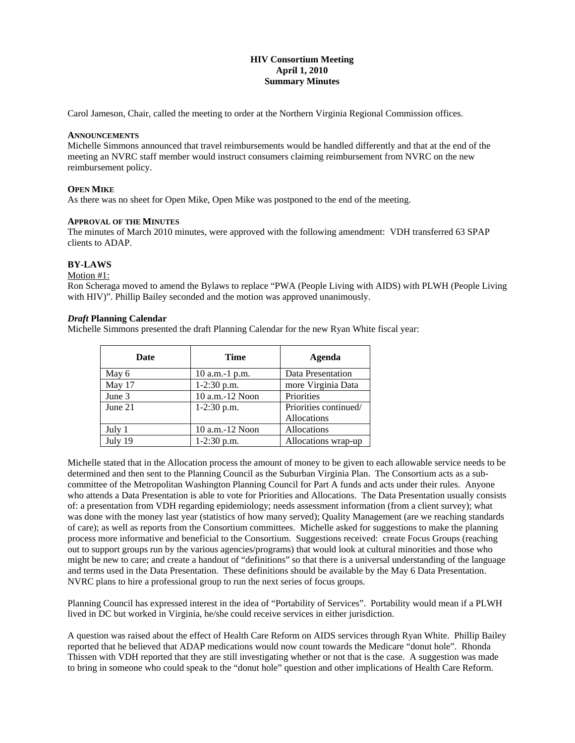# **HIV Consortium Meeting April 1, 2010 Summary Minutes**

Carol Jameson, Chair, called the meeting to order at the Northern Virginia Regional Commission offices.

# **ANNOUNCEMENTS**

Michelle Simmons announced that travel reimbursements would be handled differently and that at the end of the meeting an NVRC staff member would instruct consumers claiming reimbursement from NVRC on the new reimbursement policy.

### **OPEN MIKE**

As there was no sheet for Open Mike, Open Mike was postponed to the end of the meeting.

### **APPROVAL OF THE MINUTES**

The minutes of March 2010 minutes, were approved with the following amendment: VDH transferred 63 SPAP clients to ADAP.

### **BY-LAWS**

#### Motion #1:

Ron Scheraga moved to amend the Bylaws to replace "PWA (People Living with AIDS) with PLWH (People Living with HIV)". Phillip Bailey seconded and the motion was approved unanimously.

#### *Draft* **Planning Calendar**

Michelle Simmons presented the draft Planning Calendar for the new Ryan White fiscal year:

| Date    | Time                 | Agenda                |
|---------|----------------------|-----------------------|
| May 6   | $10$ a.m.-1 p.m.     | Data Presentation     |
| May 17  | 1-2:30 p.m.          | more Virginia Data    |
| June 3  | $10$ a.m.- $12$ Noon | Priorities            |
| June 21 | $1-2:30$ p.m.        | Priorities continued/ |
|         |                      | Allocations           |
| July 1  | $10$ a.m.- $12$ Noon | Allocations           |
| July 19 | 1-2:30 p.m.          | Allocations wrap-up   |

Michelle stated that in the Allocation process the amount of money to be given to each allowable service needs to be determined and then sent to the Planning Council as the Suburban Virginia Plan. The Consortium acts as a subcommittee of the Metropolitan Washington Planning Council for Part A funds and acts under their rules. Anyone who attends a Data Presentation is able to vote for Priorities and Allocations. The Data Presentation usually consists of: a presentation from VDH regarding epidemiology; needs assessment information (from a client survey); what was done with the money last year (statistics of how many served); Quality Management (are we reaching standards of care); as well as reports from the Consortium committees. Michelle asked for suggestions to make the planning process more informative and beneficial to the Consortium. Suggestions received: create Focus Groups (reaching out to support groups run by the various agencies/programs) that would look at cultural minorities and those who might be new to care; and create a handout of "definitions" so that there is a universal understanding of the language and terms used in the Data Presentation. These definitions should be available by the May 6 Data Presentation. NVRC plans to hire a professional group to run the next series of focus groups.

Planning Council has expressed interest in the idea of "Portability of Services". Portability would mean if a PLWH lived in DC but worked in Virginia, he/she could receive services in either jurisdiction.

A question was raised about the effect of Health Care Reform on AIDS services through Ryan White. Phillip Bailey reported that he believed that ADAP medications would now count towards the Medicare "donut hole". Rhonda Thissen with VDH reported that they are still investigating whether or not that is the case. A suggestion was made to bring in someone who could speak to the "donut hole" question and other implications of Health Care Reform.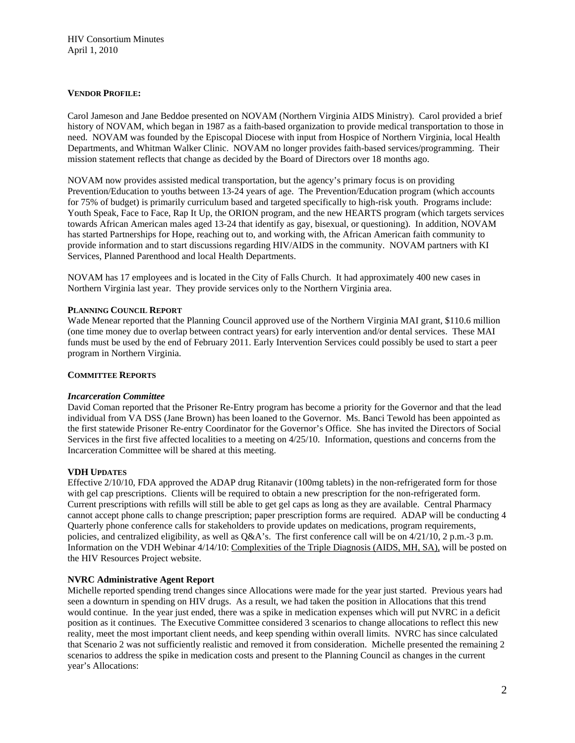## **VENDOR PROFILE:**

Carol Jameson and Jane Beddoe presented on NOVAM (Northern Virginia AIDS Ministry). Carol provided a brief history of NOVAM, which began in 1987 as a faith-based organization to provide medical transportation to those in need. NOVAM was founded by the Episcopal Diocese with input from Hospice of Northern Virginia, local Health Departments, and Whitman Walker Clinic. NOVAM no longer provides faith-based services/programming. Their mission statement reflects that change as decided by the Board of Directors over 18 months ago.

NOVAM now provides assisted medical transportation, but the agency's primary focus is on providing Prevention/Education to youths between 13-24 years of age. The Prevention/Education program (which accounts for 75% of budget) is primarily curriculum based and targeted specifically to high-risk youth. Programs include: Youth Speak, Face to Face, Rap It Up, the ORION program, and the new HEARTS program (which targets services towards African American males aged 13-24 that identify as gay, bisexual, or questioning). In addition, NOVAM has started Partnerships for Hope, reaching out to, and working with, the African American faith community to provide information and to start discussions regarding HIV/AIDS in the community. NOVAM partners with KI Services, Planned Parenthood and local Health Departments.

NOVAM has 17 employees and is located in the City of Falls Church. It had approximately 400 new cases in Northern Virginia last year. They provide services only to the Northern Virginia area.

## **PLANNING COUNCIL REPORT**

Wade Menear reported that the Planning Council approved use of the Northern Virginia MAI grant, \$110.6 million (one time money due to overlap between contract years) for early intervention and/or dental services. These MAI funds must be used by the end of February 2011. Early Intervention Services could possibly be used to start a peer program in Northern Virginia.

### **COMMITTEE REPORTS**

#### *Incarceration Committee*

David Coman reported that the Prisoner Re-Entry program has become a priority for the Governor and that the lead individual from VA DSS (Jane Brown) has been loaned to the Governor. Ms. Banci Tewold has been appointed as the first statewide Prisoner Re-entry Coordinator for the Governor's Office. She has invited the Directors of Social Services in the first five affected localities to a meeting on 4/25/10. Information, questions and concerns from the Incarceration Committee will be shared at this meeting.

## **VDH UPDATES**

Effective 2/10/10, FDA approved the ADAP drug Ritanavir (100mg tablets) in the non-refrigerated form for those with gel cap prescriptions. Clients will be required to obtain a new prescription for the non-refrigerated form. Current prescriptions with refills will still be able to get gel caps as long as they are available. Central Pharmacy cannot accept phone calls to change prescription; paper prescription forms are required. ADAP will be conducting 4 Quarterly phone conference calls for stakeholders to provide updates on medications, program requirements, policies, and centralized eligibility, as well as Q&A's. The first conference call will be on 4/21/10, 2 p.m.-3 p.m. Information on the VDH Webinar 4/14/10: Complexities of the Triple Diagnosis (AIDS, MH, SA), will be posted on the HIV Resources Project website.

#### **NVRC Administrative Agent Report**

Michelle reported spending trend changes since Allocations were made for the year just started. Previous years had seen a downturn in spending on HIV drugs. As a result, we had taken the position in Allocations that this trend would continue. In the year just ended, there was a spike in medication expenses which will put NVRC in a deficit position as it continues. The Executive Committee considered 3 scenarios to change allocations to reflect this new reality, meet the most important client needs, and keep spending within overall limits. NVRC has since calculated that Scenario 2 was not sufficiently realistic and removed it from consideration. Michelle presented the remaining 2 scenarios to address the spike in medication costs and present to the Planning Council as changes in the current year's Allocations: